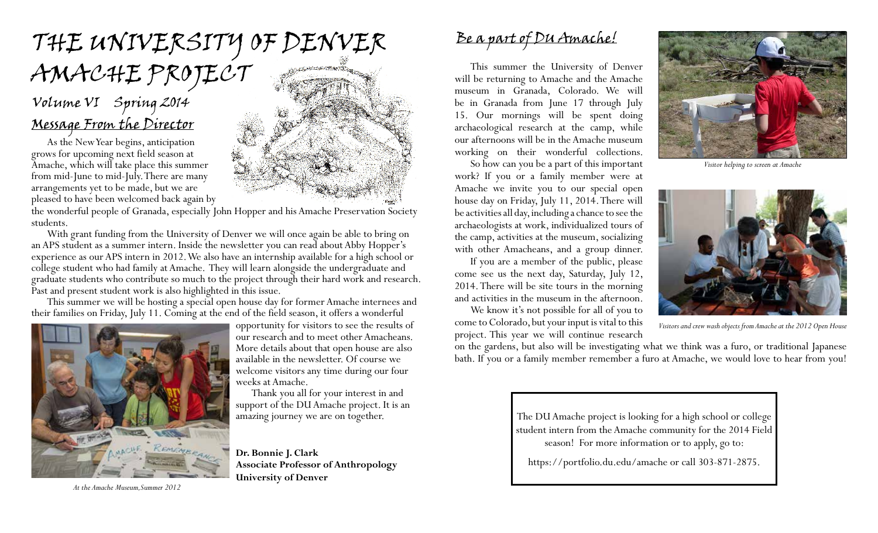# the university of denver AMACHE PROJECT

### Message From the Director Volume VI Spring 2014

As the New Year begins, anticipation grows for upcoming next field season at Amache, which will take place this summer from mid-June to mid-July. There are many arrangements yet to be made, but we are pleased to have been welcomed back again by

the wonderful people of Granada, especially John Hopper and his Amache Preservation Society students.

With grant funding from the University of Denver we will once again be able to bring on an APS student as a summer intern. Inside the newsletter you can read about Abby Hopper's experience as our APS intern in 2012. We also have an internship available for a high school or college student who had family at Amache. They will learn alongside the undergraduate and graduate students who contribute so much to the project through their hard work and research. Past and present student work is also highlighted in this issue.

This summer we will be hosting a special open house day for former Amache internees and their families on Friday, July 11. Coming at the end of the field season, it offers a wonderful



*At the Amache Museum,Summer 2012*

opportunity for visitors to see the results of our research and to meet other Amacheans. More details about that open house are also available in the newsletter. Of course we welcome visitors any time during our four weeks at Amache.

Thank you all for your interest in and support of the DU Amache project. It is an amazing journey we are on together.

**Dr. Bonnie J. Clark Associate Professor of Anthropology University of Denver**

### Be a part of DU Amache!

This summer the University of Denver will be returning to Amache and the Amache museum in Granada, Colorado. We will be in Granada from June 17 through July 15. Our mornings will be spent doing archaeological research at the camp, while our afternoons will be in the Amache museum working on their wonderful collections.

So how can you be a part of this important work? If you or a family member were at Amache we invite you to our special open house day on Friday, July 11, 2014. There will be activities all day, including a chance to see the archaeologists at work, individualized tours of the camp, activities at the museum, socializing with other Amacheans, and a group dinner.

If you are a member of the public, please come see us the next day, Saturday, July 12, 2014. There will be site tours in the morning and activities in the museum in the afternoon.

We know it's not possible for all of you to come to Colorado, but your input is vital to this project. This year we will continue research



*Visitor helping to screen at Amache*



*Visitors and crew wash objects from Amache at the 2012 Open House*

on the gardens, but also will be investigating what we think was a furo, or traditional Japanese bath. If you or a family member remember a furo at Amache, we would love to hear from you!

> The DU Amache project is looking for a high school or college student intern from the Amache community for the 2014 Field season! For more information or to apply, go to:

https://portfolio.du.edu/amache or call 303-871-2875.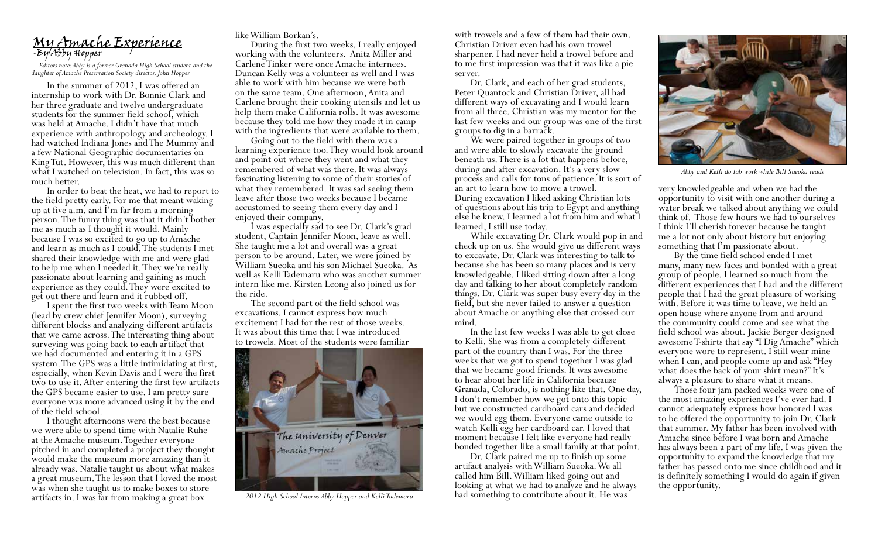## My Amache Experience -By Abby Hopper

*Editors note: Abby is a former Granada High School student and the daughter of Amache Preservation Society director, John Hopper*

In the summer of 2012, I was offered an internship to work with Dr. Bonnie Clark and her three graduate and twelve undergraduate students for the summer field school, which was held at Amache. I didn't have that much experience with anthropology and archeology. I had watched Indiana Jones and The Mummy and a few National Geographic documentaries on King Tut. However, this was much different than what I watched on television. In fact, this was so much better.

In order to beat the heat, we had to report to the field pretty early. For me that meant waking up at five a.m. and I'm far from a morning person. The funny thing was that it didn't bother me as much as I thought it would. Mainly because I was so excited to go up to Amache and learn as much as I could. The students I met shared their knowledge with me and were glad to help me when I needed it. They we're really passionate about learning and gaining as much experience as they could. They were excited to get out there and learn and it rubbed off. I spent the first two weeks with Team Moon

(lead by crew chief Jennifer Moon), surveying different blocks and analyzing different artifacts that we came across. The interesting thing about surveying was going back to each artifact that we had documented and entering it in a GPS system. The GPS was a little intimidating at first, especially, when Kevin Davis and I were the first two to use it. After entering the first few artifacts the GPS became easier to use. I am pretty sure everyone was more advanced using it by the end of the field school.<br>I thought afternoons were the best because

we were able to spend time with Natalie Ruhe at the Amache museum. Together everyone pitched in and completed a project they thought would make the museum more amazing than it already was. Natalie taught us about what makes a great museum. The lesson that I loved the most was when she taught us to make boxes to store artifacts in. I was far from making a great box

like William Borkan's. working with the volunteers. Anita Miller and Carlene Tinker were once Amache internees. Duncan Kelly was a volunteer as well and I was able to work with him because we were both on the same team. One afternoon, Anita and Carlene brought their cooking utensils and let us help them make California rolls. It was awesome because they told me how they made it in camp

with the ingredients that were available to them. Going out to the field with them was a learning experience too. They would look around and point out where they went and what they remembered of what was there. It was always fascinating listening to some of their stories of what they remembered. It was sad seeing them leave after those two weeks because I became accustomed to seeing them every day and I

I was especially sad to see Dr. Clark's grad student, Captain Jennifer Moon, leave as well. She taught me a lot and overall was a great person to be around. Later, we were joined by William Sueoka and his son Michael Sueoka. As well as Kelli Tademaru who was another summer intern like me. Kirsten Leong also joined us for the ride.

The second part of the field school was excavations. I cannot express how much excitement I had for the rest of those weeks. It was about this time that I was introduced to trowels. Most of the students were familiar



*2012 High School Interns Abby Hopper and Kelli Tademaru*

with trowels and a few of them had their own. Christian Driver even had his own trowel sharpener. I had never held a trowel before and to me first impression was that it was like a pie

server.<br>Dr. Clark, and each of her grad students, Peter Quantock and Christian Driver, all had different ways of excavating and I would learn from all three. Christian was my mentor for the last few weeks and our group was one of the first<br>groups to dig in a barrack.

We were paired together in groups of two and were able to slowly excavate the ground beneath us. There is a lot that happens before, during and after excavation. It's a very slow process and calls for tons of patience. It is sort of an art to learn how to move a trowel. During excavation I liked asking Christian lots of questions about his trip to Egypt and anything else he knew. I learned a lot from him and what I

While excavating Dr. Clark would pop in and check up on us. She would give us different ways to excavate. Dr. Clark was interesting to talk to because she has been so many places and is very knowledgeable. I liked sitting down after a long day and talking to her about completely random things. Dr. Clark was super busy every day in the field, but she never failed to answer a question about Amache or anything else that crossed our mind.<br>In the last few weeks I was able to get close

to Kelli. She was from a completely different part of the country than I was. For the three weeks that we got to spend together I was glad that we became good friends. It was awesome to hear about her life in California because Granada, Colorado, is nothing like that. One day, I don't remember how we got onto this topic but we constructed cardboard cars and decided we would egg them. Everyone came outside to watch Kelli egg her cardboard car. I loved that moment because I felt like everyone had really bonded together like a small family at that point. Dr. Clark paired me up to finish up some

artifact analysis with William Sueoka. We all called him Bill. William liked going out and looking at what we had to analyze and he always had something to contribute about it. He was



*Abby and Kelli do lab work while Bill Sueoka reads*

very knowledgeable and when we had the opportunity to visit with one another during a water break we talked about anything we could think of. Those few hours we had to ourselves I think I'll cherish forever because he taught me a lot not only about history but enjoying<br>something that I'm passionate about.

By the time field school ended I met many, many new faces and bonded with a great group of people. I learned so much from the different experiences that I had and the different people that I had the great pleasure of working with. Before it was time to leave, we held an open house where anyone from and around the community could come and see what the field school was about. Jackie Berger designed awesome T-shirts that say "I Dig Amache" which everyone wore to represent. I still wear mine when I can, and people come up and ask "Hey what does the back of your shirt mean?" It's always a pleasure to share what it means.

Those four jam packed weeks were one of the most amazing experiences I've ever had. I cannot adequately express how honored I was to be offered the opportunity to join Dr. Clark that summer. My father has been involved with Amache since before I was born and Amache has always been a part of my life. I was given the opportunity to expand the knowledge that my father has passed onto me since childhood and it is definitely something I would do again if given the opportunity.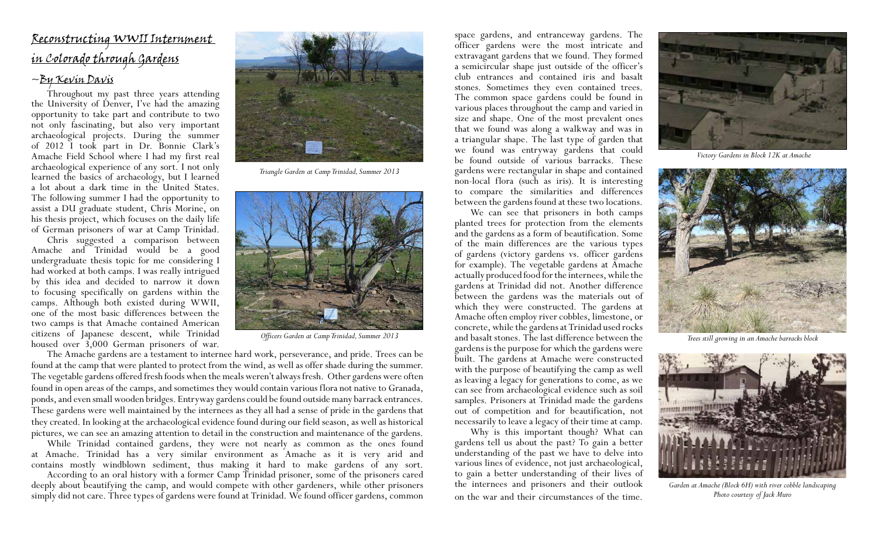#### Reconstructing WWII Internment in Colorado through Gardens

#### ~By Kevin Davis

Throughout my past three years attending the University of Denver, I've had the amazing opportunity to take part and contribute to two not only fascinating, but also very important archaeological projects. During the summer of 2012 I took part in Dr. Bonnie Clark's Amache Field School where I had my first real archaeological experience of any sort. I not only learned the basics of archaeology, but I learned a lot about a dark time in the United States. The following summer I had the opportunity to assist a DU graduate student, Chris Morine, on his thesis project, which focuses on the daily life of German prisoners of war at Camp Trinidad.

Chris suggested a comparison between Amache and Trinidad would be a good undergraduate thesis topic for me considering I had worked at both camps. I was really intrigued by this idea and decided to narrow it down to focusing specifically on gardens within the camps. Although both existed during WWII, one of the most basic differences between the two camps is that Amache contained American citizens of Japanese descent, while Trinidad housed over 3,000 German prisoners of war.



*Triangle Garden at Camp Trinidad, Summer 2013*



*Officers Garden at Camp Trinidad, Summer 2013*

The Amache gardens are a testament to internee hard work, perseverance, and pride. Trees can be found at the camp that were planted to protect from the wind, as well as offer shade during the summer. The vegetable gardens offered fresh foods when the meals weren't always fresh. Other gardens were often found in open areas of the camps, and sometimes they would contain various flora not native to Granada, ponds, and even small wooden bridges. Entryway gardens could be found outside many barrack entrances. These gardens were well maintained by the internees as they all had a sense of pride in the gardens that they created. In looking at the archaeological evidence found during our field season, as well as historical pictures, we can see an amazing attention to detail in the construction and maintenance of the gardens.

While Trinidad contained gardens, they were not nearly as common as the ones found at Amache. Trinidad has a very similar environment as Amache as it is very arid and contains mostly windblown sediment, thus making it hard to make gardens of any sort.

According to an oral history with a former Camp Trinidad prisoner, some of the prisoners cared deeply about beautifying the camp, and would compete with other gardeners, while other prisoners simply did not care. Three types of gardens were found at Trinidad. We found officer gardens, common

space gardens, and entranceway gardens. The officer gardens were the most intricate and extravagant gardens that we found. They formed a semicircular shape just outside of the officer's club entrances and contained iris and basalt stones. Sometimes they even contained trees. The common space gardens could be found in various places throughout the camp and varied in size and shape. One of the most prevalent ones that we found was along a walkway and was in a triangular shape. The last type of garden that we found was entryway gardens that could be found outside of various barracks. These gardens were rectangular in shape and contained non-local flora (such as iris). It is interesting to compare the similarities and differences between the gardens found at these two locations.

We can see that prisoners in both camps planted trees for protection from the elements and the gardens as a form of beautification. Some of the main differences are the various types of gardens (victory gardens vs. officer gardens for example). The vegetable gardens at Amache actually produced food for the internees, while the gardens at Trinidad did not. Another difference between the gardens was the materials out of which they were constructed. The gardens at Amache often employ river cobbles, limestone, or concrete, while the gardens at Trinidad used rocks and basalt stones. The last difference between the gardens is the purpose for which the gardens were built. The gardens at Amache were constructed with the purpose of beautifying the camp as well as leaving a legacy for generations to come, as we can see from archaeological evidence such as soil samples. Prisoners at Trinidad made the gardens out of competition and for beautification, not necessarily to leave a legacy of their time at camp.

Why is this important though? What can gardens tell us about the past? To gain a better understanding of the past we have to delve into various lines of evidence, not just archaeological, to gain a better understanding of their lives of the internees and prisoners and their outlook on the war and their circumstances of the time.



*Victory Gardens in Block 12K at Amache*



*Trees still growing in an Amache barracks block*



*Garden at Amache (Block 6H) with river cobble landscaping Photo courtesy of Jack Muro*